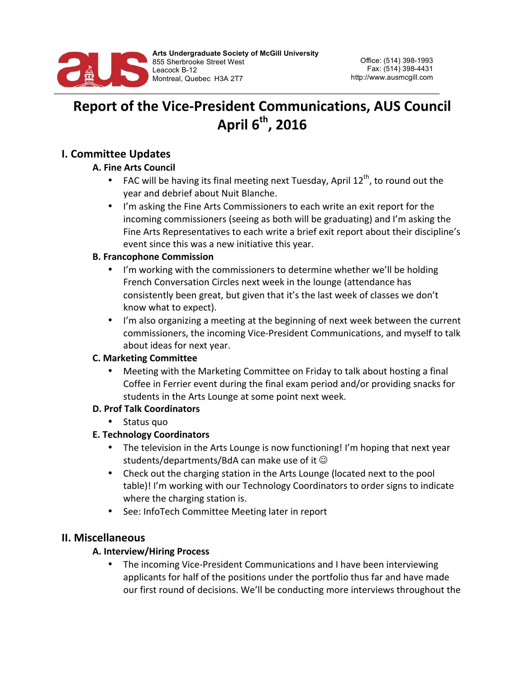

# **Report of the Vice-President Communications, AUS Council** April  $6^{th}$ , 2016

## **I. Committee Updates**

## **A. Fine Arts Council**

- FAC will be having its final meeting next Tuesday, April  $12<sup>th</sup>$ , to round out the year and debrief about Nuit Blanche.
- I'm asking the Fine Arts Commissioners to each write an exit report for the incoming commissioners (seeing as both will be graduating) and I'm asking the Fine Arts Representatives to each write a brief exit report about their discipline's event since this was a new initiative this year.

#### **B. Francophone Commission**

- I'm working with the commissioners to determine whether we'll be holding French Conversation Circles next week in the lounge (attendance has consistently been great, but given that it's the last week of classes we don't know what to expect).
- I'm also organizing a meeting at the beginning of next week between the current commissioners, the incoming Vice-President Communications, and myself to talk about ideas for next year.

## **C. Marketing Committee**

Meeting with the Marketing Committee on Friday to talk about hosting a final Coffee in Ferrier event during the final exam period and/or providing snacks for students in the Arts Lounge at some point next week.

## **D. Prof Talk Coordinators**

• Status quo

## **E. Technology Coordinators**

- The television in the Arts Lounge is now functioning! I'm hoping that next year students/departments/BdA can make use of it  $\odot$
- Check out the charging station in the Arts Lounge (located next to the pool table)! I'm working with our Technology Coordinators to order signs to indicate where the charging station is.
- See: InfoTech Committee Meeting later in report

## **II. Miscellaneous**

#### **A. Interview/Hiring Process**

The incoming Vice-President Communications and I have been interviewing applicants for half of the positions under the portfolio thus far and have made our first round of decisions. We'll be conducting more interviews throughout the